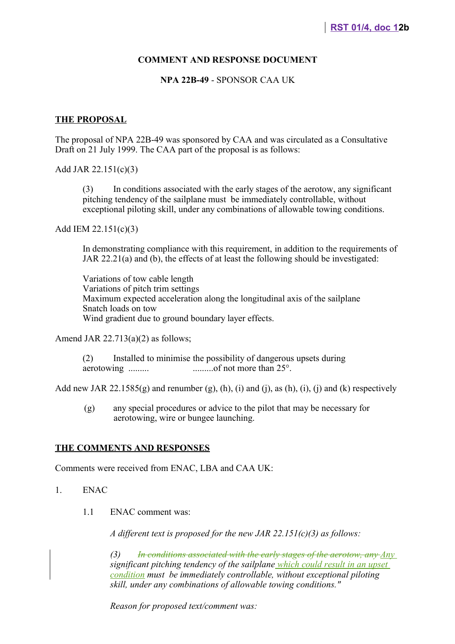#### **COMMENT AND RESPONSE DOCUMENT**

#### **NPA 22B-49** - SPONSOR CAA UK

#### **THE PROPOSAL**

The proposal of NPA 22B-49 was sponsored by CAA and was circulated as a Consultative Draft on 21 July 1999. The CAA part of the proposal is as follows:

Add JAR 22.151(c)(3)

(3) In conditions associated with the early stages of the aerotow, any significant pitching tendency of the sailplane must be immediately controllable, without exceptional piloting skill, under any combinations of allowable towing conditions.

Add IEM 22.151(c)(3)

In demonstrating compliance with this requirement, in addition to the requirements of JAR 22.21(a) and (b), the effects of at least the following should be investigated:

Variations of tow cable length Variations of pitch trim settings Maximum expected acceleration along the longitudinal axis of the sailplane Snatch loads on tow Wind gradient due to ground boundary layer effects.

Amend JAR  $22.713(a)(2)$  as follows;

(2) Installed to minimise the possibility of dangerous upsets during aerotowing ......... .........of not more than 25°.

Add new JAR 22.1585 $(g)$  and renumber  $(g)$ ,  $(h)$ ,  $(i)$  and  $(i)$ , as  $(h)$ ,  $(i)$ ,  $(i)$  and  $(k)$  respectively

(g) any special procedures or advice to the pilot that may be necessary for aerotowing, wire or bungee launching.

#### **THE COMMENTS AND RESPONSES**

Comments were received from ENAC, LBA and CAA UK:

- 1. ENAC
	- 1.1 ENAC comment was:

*A different text is proposed for the new JAR 22.151(c)(3) as follows:*

*(3) In conditions associated with the early stages of the aerotow, any Any significant pitching tendency of the sailplane which could result in an upset condition must be immediately controllable, without exceptional piloting skill, under any combinations of allowable towing conditions."*

*Reason for proposed text/comment was:*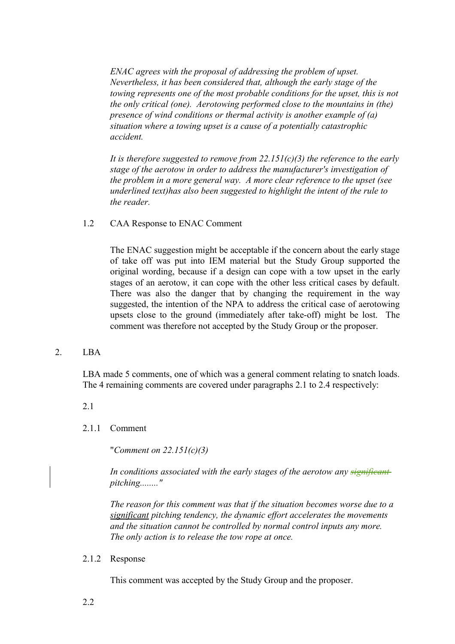*ENAC agrees with the proposal of addressing the problem of upset. Nevertheless, it has been considered that, although the early stage of the towing represents one of the most probable conditions for the upset, this is not the only critical (one). Aerotowing performed close to the mountains in (the) presence of wind conditions or thermal activity is another example of (a) situation where a towing upset is a cause of a potentially catastrophic accident.*

*It is therefore suggested to remove from 22.151(c)(3) the reference to the early stage of the aerotow in order to address the manufacturer's investigation of the problem in a more general way. A more clear reference to the upset (see underlined text)has also been suggested to highlight the intent of the rule to the reader.* 

1.2 CAA Response to ENAC Comment

The ENAC suggestion might be acceptable if the concern about the early stage of take off was put into IEM material but the Study Group supported the original wording, because if a design can cope with a tow upset in the early stages of an aerotow, it can cope with the other less critical cases by default. There was also the danger that by changing the requirement in the way suggested, the intention of the NPA to address the critical case of aerotowing upsets close to the ground (immediately after take-off) might be lost. The comment was therefore not accepted by the Study Group or the proposer.

# 2. LBA

LBA made 5 comments, one of which was a general comment relating to snatch loads. The 4 remaining comments are covered under paragraphs 2.1 to 2.4 respectively:

2.1

2.1.1 Comment

"*Comment on 22.151(c)(3)*

*In conditions associated with the early stages of the aerotow any significant pitching........"*

*The reason for this comment was that if the situation becomes worse due to a significant pitching tendency, the dynamic effort accelerates the movements and the situation cannot be controlled by normal control inputs any more. The only action is to release the tow rope at once.* 

# 2.1.2 Response

This comment was accepted by the Study Group and the proposer.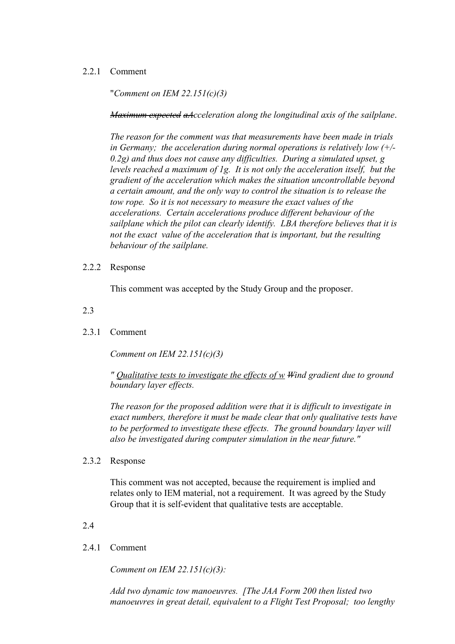# 2.2.1 Comment

"*Comment on IEM 22.151(c)(3)*

*Maximum expected aAcceleration along the longitudinal axis of the sailplane*.

*The reason for the comment was that measurements have been made in trials in Germany; the acceleration during normal operations is relatively low (+/- 0.2g) and thus does not cause any difficulties. During a simulated upset, g levels reached a maximum of 1g. It is not only the acceleration itself, but the gradient of the acceleration which makes the situation uncontrollable beyond a certain amount, and the only way to control the situation is to release the tow rope. So it is not necessary to measure the exact values of the accelerations. Certain accelerations produce different behaviour of the sailplane which the pilot can clearly identify. LBA therefore believes that it is not the exact value of the acceleration that is important, but the resulting behaviour of the sailplane.*

2.2.2 Response

This comment was accepted by the Study Group and the proposer.

2.3

# 2.3.1 Comment

*Comment on IEM 22.151(c)(3)*

*" Qualitative tests to investigate the effects of w Wind gradient due to ground boundary layer effects.*

*The reason for the proposed addition were that it is difficult to investigate in exact numbers, therefore it must be made clear that only qualitative tests have to be performed to investigate these effects. The ground boundary layer will also be investigated during computer simulation in the near future."* 

2.3.2 Response

This comment was not accepted, because the requirement is implied and relates only to IEM material, not a requirement. It was agreed by the Study Group that it is self-evident that qualitative tests are acceptable.

2.4

# 2.4.1 Comment

*Comment on IEM 22.151(c)(3):*

*Add two dynamic tow manoeuvres. [The JAA Form 200 then listed two manoeuvres in great detail, equivalent to a Flight Test Proposal; too lengthy*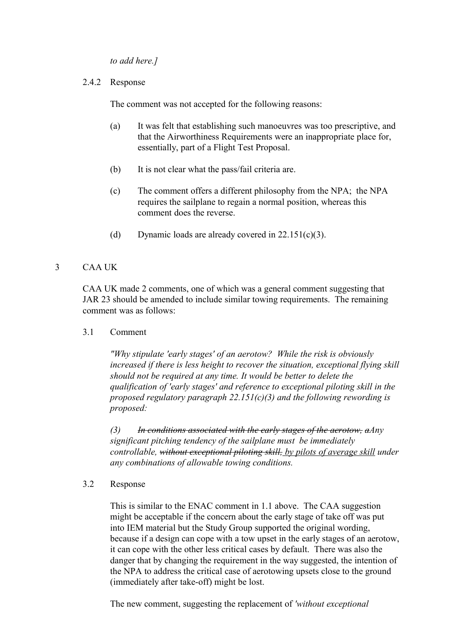*to add here.]*

2.4.2 Response

The comment was not accepted for the following reasons:

- (a) It was felt that establishing such manoeuvres was too prescriptive, and that the Airworthiness Requirements were an inappropriate place for, essentially, part of a Flight Test Proposal.
- (b) It is not clear what the pass/fail criteria are.
- (c) The comment offers a different philosophy from the NPA; the NPA requires the sailplane to regain a normal position, whereas this comment does the reverse.
- (d) Dynamic loads are already covered in  $22.151(c)(3)$ .

# 3 CAA UK

CAA UK made 2 comments, one of which was a general comment suggesting that JAR 23 should be amended to include similar towing requirements. The remaining comment was as follows:

3.1 Comment

*"Why stipulate 'early stages' of an aerotow? While the risk is obviously increased if there is less height to recover the situation, exceptional flying skill should not be required at any time. It would be better to delete the qualification of 'early stages' and reference to exceptional piloting skill in the proposed regulatory paragraph 22.151(c)(3) and the following rewording is proposed:*

*(3) In conditions associated with the early stages of the aerotow, aAny significant pitching tendency of the sailplane must be immediately controllable, without exceptional piloting skill, by pilots of average skill under any combinations of allowable towing conditions.*

3.2 Response

This is similar to the ENAC comment in 1.1 above. The CAA suggestion might be acceptable if the concern about the early stage of take off was put into IEM material but the Study Group supported the original wording, because if a design can cope with a tow upset in the early stages of an aerotow, it can cope with the other less critical cases by default. There was also the danger that by changing the requirement in the way suggested, the intention of the NPA to address the critical case of aerotowing upsets close to the ground (immediately after take-off) might be lost.

The new comment, suggesting the replacement of *'without exceptional*